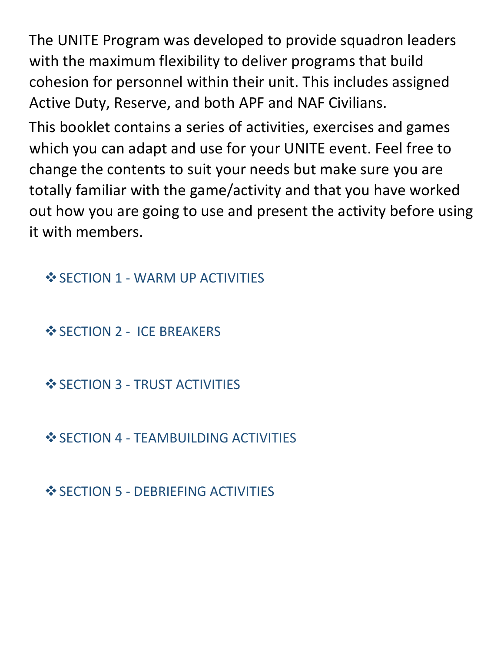The UNITE Program was developed to provide squadron leaders with the maximum flexibility to deliver programs that build cohesion for personnel within their unit. This includes assigned Active Duty, Reserve, and both APF and NAF Civilians.

This booklet contains a series of activities, exercises and games which you can adapt and use for your UNITE event. Feel free to change the contents to suit your needs but make sure you are totally familiar with the game/activity and that you have worked out how you are going to use and present the activity before using it with members.

**❖ SECTION 1 - WARM UP ACTIVITIES** 

❖ SECTION 2 - ICE BREAKERS

❖ SECTION 3 - TRUST ACTIVITIES

❖ SECTION 4 - TEAMBUILDING ACTIVITIES

**❖ SECTION 5 - DEBRIEFING ACTIVITIES**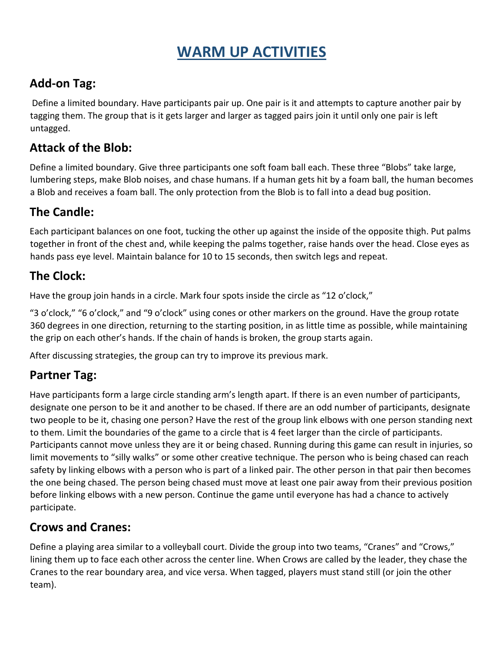# **WARM UP ACTIVITIES**

## **Add-on Tag:**

Define a limited boundary. Have participants pair up. One pair is it and attempts to capture another pair by tagging them. The group that is it gets larger and larger as tagged pairs join it until only one pair is left untagged.

## **Attack of the Blob:**

Define a limited boundary. Give three participants one soft foam ball each. These three "Blobs" take large, lumbering steps, make Blob noises, and chase humans. If a human gets hit by a foam ball, the human becomes a Blob and receives a foam ball. The only protection from the Blob is to fall into a dead bug position.

## **The Candle:**

Each participant balances on one foot, tucking the other up against the inside of the opposite thigh. Put palms together in front of the chest and, while keeping the palms together, raise hands over the head. Close eyes as hands pass eye level. Maintain balance for 10 to 15 seconds, then switch legs and repeat.

## **The Clock:**

Have the group join hands in a circle. Mark four spots inside the circle as "12 o'clock,"

"3 o'clock," "6 o'clock," and "9 o'clock" using cones or other markers on the ground. Have the group rotate 360 degrees in one direction, returning to the starting position, in as little time as possible, while maintaining the grip on each other's hands. If the chain of hands is broken, the group starts again.

After discussing strategies, the group can try to improve its previous mark.

## **Partner Tag:**

Have participants form a large circle standing arm's length apart. If there is an even number of participants, designate one person to be it and another to be chased. If there are an odd number of participants, designate two people to be it, chasing one person? Have the rest of the group link elbows with one person standing next to them. Limit the boundaries of the game to a circle that is 4 feet larger than the circle of participants. Participants cannot move unless they are it or being chased. Running during this game can result in injuries, so limit movements to "silly walks" or some other creative technique. The person who is being chased can reach safety by linking elbows with a person who is part of a linked pair. The other person in that pair then becomes the one being chased. The person being chased must move at least one pair away from their previous position before linking elbows with a new person. Continue the game until everyone has had a chance to actively participate.

## **Crows and Cranes:**

Define a playing area similar to a volleyball court. Divide the group into two teams, "Cranes" and "Crows," lining them up to face each other across the center line. When Crows are called by the leader, they chase the Cranes to the rear boundary area, and vice versa. When tagged, players must stand still (or join the other team).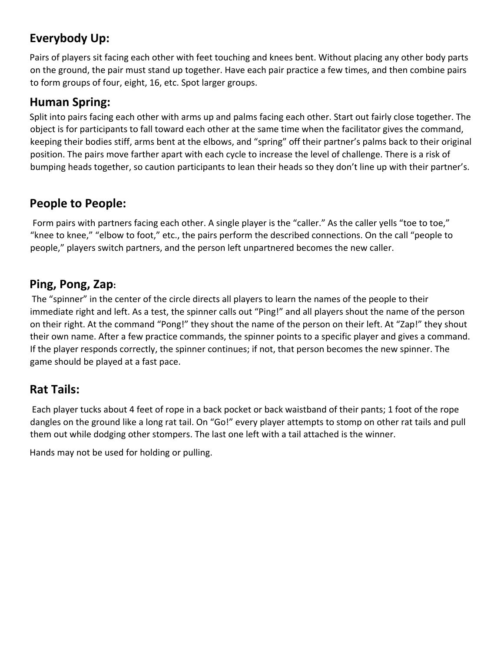## **Everybody Up:**

Pairs of players sit facing each other with feet touching and knees bent. Without placing any other body parts on the ground, the pair must stand up together. Have each pair practice a few times, and then combine pairs to form groups of four, eight, 16, etc. Spot larger groups.

## **Human Spring:**

Split into pairs facing each other with arms up and palms facing each other. Start out fairly close together. The object is for participants to fall toward each other at the same time when the facilitator gives the command, keeping their bodies stiff, arms bent at the elbows, and "spring" off their partner's palms back to their original position. The pairs move farther apart with each cycle to increase the level of challenge. There is a risk of bumping heads together, so caution participants to lean their heads so they don't line up with their partner's.

## **People to People:**

Form pairs with partners facing each other. A single player is the "caller." As the caller yells "toe to toe," "knee to knee," "elbow to foot," etc., the pairs perform the described connections. On the call "people to people," players switch partners, and the person left unpartnered becomes the new caller.

## **Ping, Pong, Zap:**

The "spinner" in the center of the circle directs all players to learn the names of the people to their immediate right and left. As a test, the spinner calls out "Ping!" and all players shout the name of the person on their right. At the command "Pong!" they shout the name of the person on their left. At "Zap!" they shout their own name. After a few practice commands, the spinner points to a specific player and gives a command. If the player responds correctly, the spinner continues; if not, that person becomes the new spinner. The game should be played at a fast pace.

## **Rat Tails:**

Each player tucks about 4 feet of rope in a back pocket or back waistband of their pants; 1 foot of the rope dangles on the ground like a long rat tail. On "Go!" every player attempts to stomp on other rat tails and pull them out while dodging other stompers. The last one left with a tail attached is the winner.

Hands may not be used for holding or pulling.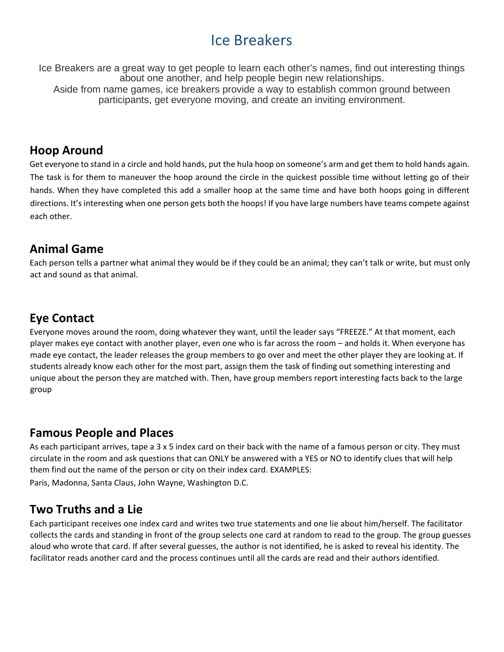## Ice Breakers

Ice Breakers are a great way to get people to learn each other's names, find out interesting things about one another, and help people begin new relationships. Aside from name games, ice breakers provide a way to establish common ground between participants, get everyone moving, and create an inviting environment.

### **Hoop Around**

Get everyone to stand in a circle and hold hands, put the hula hoop on someone's arm and get them to hold hands again. The task is for them to maneuver the hoop around the circle in the quickest possible time without letting go of their hands. When they have completed this add a smaller hoop at the same time and have both hoops going in different directions. It's interesting when one person gets both the hoops! If you have large numbers have teams compete against each other.

### **Animal Game**

Each person tells a partner what animal they would be if they could be an animal; they can't talk or write, but must only act and sound as that animal.

## **Eye Contact**

Everyone moves around the room, doing whatever they want, until the leader says "FREEZE." At that moment, each player makes eye contact with another player, even one who is far across the room – and holds it. When everyone has made eye contact, the leader releases the group members to go over and meet the other player they are looking at. If students already know each other for the most part, assign them the task of finding out something interesting and unique about the person they are matched with. Then, have group members report interesting facts back to the large group

### **Famous People and Places**

As each participant arrives, tape a 3 x 5 index card on their back with the name of a famous person or city. They must circulate in the room and ask questions that can ONLY be answered with a YES or NO to identify clues that will help them find out the name of the person or city on their index card. EXAMPLES: Paris, Madonna, Santa Claus, John Wayne, Washington D.C.

### **Two Truths and a Lie**

Each participant receives one index card and writes two true statements and one lie about him/herself. The facilitator collects the cards and standing in front of the group selects one card at random to read to the group. The group guesses aloud who wrote that card. If after several guesses, the author is not identified, he is asked to reveal his identity. The facilitator reads another card and the process continues until all the cards are read and their authors identified.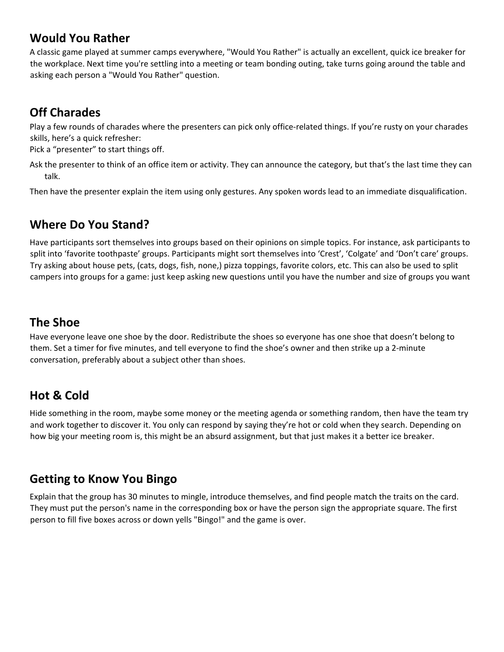## **Would You Rather**

A classic game played at summer camps everywhere, "Would You Rather" is actually an excellent, quick ice breaker for the workplace. Next time you're settling into a meeting or team bonding outing, take turns going around the table and asking each person a "Would You Rather" question.

## **Off Charades**

Play a few rounds of charades where the presenters can pick only office-related things. If you're rusty on your charades skills, here's a quick refresher:

Pick a "presenter" to start things off.

Ask the presenter to think of an office item or activity. They can announce the category, but that's the last time they can talk.

Then have the presenter explain the item using only gestures. Any spoken words lead to an immediate disqualification.

## **Where Do You Stand?**

Have participants sort themselves into groups based on their opinions on simple topics. For instance, ask participants to split into 'favorite toothpaste' groups. Participants might sort themselves into 'Crest', 'Colgate' and 'Don't care' groups. Try asking about house pets, (cats, dogs, fish, none,) pizza toppings, favorite colors, etc. This can also be used to split campers into groups for a game: just keep asking new questions until you have the number and size of groups you want

## **The Shoe**

Have everyone leave one shoe by the door. Redistribute the shoes so everyone has one shoe that doesn't belong to them. Set a timer for five minutes, and tell everyone to find the shoe's owner and then strike up a 2-minute conversation, preferably about a subject other than shoes.

## **Hot & Cold**

Hide something in the room, maybe some money or the meeting agenda or something random, then have the team try and work together to discover it. You only can respond by saying they're hot or cold when they search. Depending on how big your meeting room is, this might be an absurd assignment, but that just makes it a better ice breaker.

## **Getting to Know You Bingo**

Explain that the group has 30 minutes to mingle, introduce themselves, and find people match the traits on the card. They must put the person's name in the corresponding box or have the person sign the appropriate square. The first person to fill five boxes across or down yells "Bingo!" and the game is over.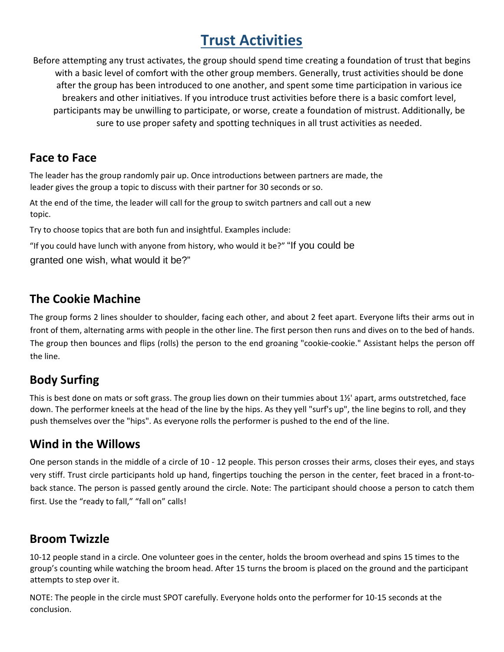# **Trust Activities**

Before attempting any trust activates, the group should spend time creating a foundation of trust that begins with a basic level of comfort with the other group members. Generally, trust activities should be done after the group has been introduced to one another, and spent some time participation in various ice breakers and other initiatives. If you introduce trust activities before there is a basic comfort level, participants may be unwilling to participate, or worse, create a foundation of mistrust. Additionally, be sure to use proper safety and spotting techniques in all trust activities as needed.

## **Face to Face**

The leader has the group randomly pair up. Once introductions between partners are made, the leader gives the group a topic to discuss with their partner for 30 seconds or so.

At the end of the time, the leader will call for the group to switch partners and call out a new topic.

Try to choose topics that are both fun and insightful. Examples include:

"If you could have lunch with anyone from history, who would it be?" "If you could be granted one wish, what would it be?"

## **The Cookie Machine**

The group forms 2 lines shoulder to shoulder, facing each other, and about 2 feet apart. Everyone lifts their arms out in front of them, alternating arms with people in the other line. The first person then runs and dives on to the bed of hands. The group then bounces and flips (rolls) the person to the end groaning "cookie-cookie." Assistant helps the person off the line.

## **Body Surfing**

This is best done on mats or soft grass. The group lies down on their tummies about 1½' apart, arms outstretched, face down. The performer kneels at the head of the line by the hips. As they yell "surf's up", the line begins to roll, and they push themselves over the "hips". As everyone rolls the performer is pushed to the end of the line.

## **Wind in the Willows**

One person stands in the middle of a circle of 10 - 12 people. This person crosses their arms, closes their eyes, and stays very stiff. Trust circle participants hold up hand, fingertips touching the person in the center, feet braced in a front-toback stance. The person is passed gently around the circle. Note: The participant should choose a person to catch them first. Use the "ready to fall," "fall on" calls!

## **Broom Twizzle**

10-12 people stand in a circle. One volunteer goes in the center, holds the broom overhead and spins 15 times to the group's counting while watching the broom head. After 15 turns the broom is placed on the ground and the participant attempts to step over it.

NOTE: The people in the circle must SPOT carefully. Everyone holds onto the performer for 10-15 seconds at the conclusion.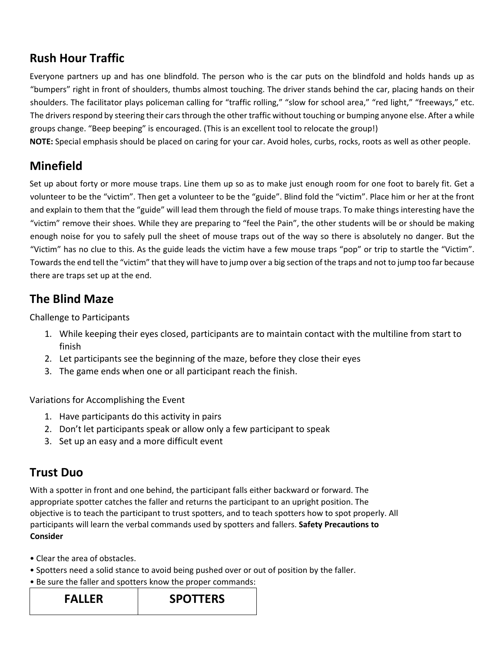## **Rush Hour Traffic**

Everyone partners up and has one blindfold. The person who is the car puts on the blindfold and holds hands up as "bumpers" right in front of shoulders, thumbs almost touching. The driver stands behind the car, placing hands on their shoulders. The facilitator plays policeman calling for "traffic rolling," "slow for school area," "red light," "freeways," etc. The drivers respond by steering their cars through the other traffic without touching or bumping anyone else. After a while groups change. "Beep beeping" is encouraged. (This is an excellent tool to relocate the group!)

**NOTE:** Special emphasis should be placed on caring for your car. Avoid holes, curbs, rocks, roots as well as other people.

## **Minefield**

Set up about forty or more mouse traps. Line them up so as to make just enough room for one foot to barely fit. Get a volunteer to be the "victim". Then get a volunteer to be the "guide". Blind fold the "victim". Place him or her at the front and explain to them that the "guide" will lead them through the field of mouse traps. To make things interesting have the "victim" remove their shoes. While they are preparing to "feel the Pain", the other students will be or should be making enough noise for you to safely pull the sheet of mouse traps out of the way so there is absolutely no danger. But the "Victim" has no clue to this. As the guide leads the victim have a few mouse traps "pop" or trip to startle the "Victim". Towards the end tell the "victim" that they will have to jump over a big section of the traps and not to jump too far because there are traps set up at the end.

## **The Blind Maze**

Challenge to Participants

- 1. While keeping their eyes closed, participants are to maintain contact with the multiline from start to finish
- 2. Let participants see the beginning of the maze, before they close their eyes
- 3. The game ends when one or all participant reach the finish.

Variations for Accomplishing the Event

- 1. Have participants do this activity in pairs
- 2. Don't let participants speak or allow only a few participant to speak
- 3. Set up an easy and a more difficult event

## **Trust Duo**

With a spotter in front and one behind, the participant falls either backward or forward. The appropriate spotter catches the faller and returns the participant to an upright position. The objective is to teach the participant to trust spotters, and to teach spotters how to spot properly. All participants will learn the verbal commands used by spotters and fallers. **Safety Precautions to Consider** 

- Clear the area of obstacles.
- Spotters need a solid stance to avoid being pushed over or out of position by the faller.
- Be sure the faller and spotters know the proper commands:

**FALLER SPOTTERS**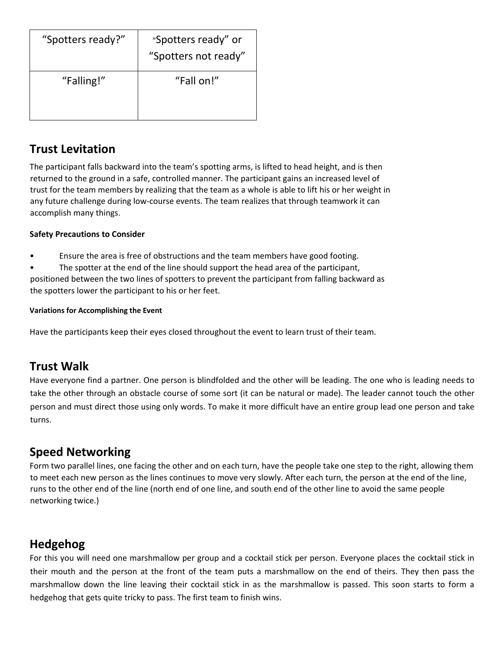| "Spotters ready?" | "Spotters ready" or<br>"Spotters not ready" |
|-------------------|---------------------------------------------|
| "Falling!"        | "Fall on!"                                  |

## **Trust Levitation**

The participant falls backward into the team's spotting arms, is lifted to head height, and is then returned to the ground in a safe, controlled manner. The participant gains an increased level of trust for the team members by realizing that the team as a whole is able to lift his or her weight in any future challenge during low-course events. The team realizes that through teamwork it can accomplish many things.

#### **Safety Precautions to Consider**

- Ensure the area is free of obstructions and the team members have good footing.
- The spotter at the end of the line should support the head area of the participant,

positioned between the two lines of spotters to prevent the participant from falling backward as the spotters lower the participant to his or her feet.

#### **Variations for Accomplishing the Event**

Have the participants keep their eyes closed throughout the event to learn trust of their team.

## **Trust Walk**

Have everyone find a partner. One person is blindfolded and the other will be leading. The one who is leading needs to take the other through an obstacle course of some sort (it can be natural or made). The leader cannot touch the other person and must direct those using only words. To make it more difficult have an entire group lead one person and take turns.

## **Speed Networking**

Form two parallel lines, one facing the other and on each turn, have the people take one step to the right, allowing them to meet each new person as the lines continues to move very slowly. After each turn, the person at the end of the line, runs to the other end of the line (north end of one line, and south end of the other line to avoid the same people networking twice.)

## **Hedgehog**

For this you will need one marshmallow per group and a cocktail stick per person. Everyone places the cocktail stick in their mouth and the person at the front of the team puts a marshmallow on the end of theirs. They then pass the marshmallow down the line leaving their cocktail stick in as the marshmallow is passed. This soon starts to form a hedgehog that gets quite tricky to pass. The first team to finish wins.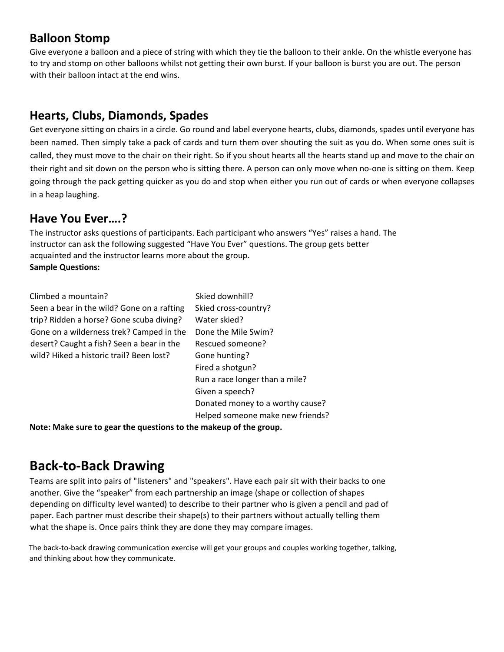## **Balloon Stomp**

Give everyone a balloon and a piece of string with which they tie the balloon to their ankle. On the whistle everyone has to try and stomp on other balloons whilst not getting their own burst. If your balloon is burst you are out. The person with their balloon intact at the end wins.

## **Hearts, Clubs, Diamonds, Spades**

Get everyone sitting on chairs in a circle. Go round and label everyone hearts, clubs, diamonds, spades until everyone has been named. Then simply take a pack of cards and turn them over shouting the suit as you do. When some ones suit is called, they must move to the chair on their right. So if you shout hearts all the hearts stand up and move to the chair on their right and sit down on the person who is sitting there. A person can only move when no-one is sitting on them. Keep going through the pack getting quicker as you do and stop when either you run out of cards or when everyone collapses in a heap laughing.

## **Have You Ever….?**

The instructor asks questions of participants. Each participant who answers "Yes" raises a hand. The instructor can ask the following suggested "Have You Ever" questions. The group gets better acquainted and the instructor learns more about the group. **Sample Questions:**

Climbed a mountain? Skied downhill? Seen a bear in the wild? Gone on a rafting trip? Ridden a horse? Gone scuba diving? Gone on a wilderness trek? Camped in the desert? Caught a fish? Seen a bear in the wild? Hiked a historic trail? Been lost?

Skied cross-country? Water skied? Done the Mile Swim? Rescued someone? Gone hunting? Fired a shotgun? Run a race longer than a mile? Given a speech? Donated money to a worthy cause? Helped someone make new friends?

**Note: Make sure to gear the questions to the makeup of the group.**

## **Back-to-Back Drawing**

Teams are split into pairs of "listeners" and "speakers". Have each pair sit with their backs to one another. Give the "speaker" from each partnership an image (shape or collection of shapes depending on difficulty level wanted) to describe to their partner who is given a pencil and pad of paper. Each partner must describe their shape(s) to their partners without actually telling them what the shape is. Once pairs think they are done they may compare images.

The back-to-back drawing communication exercise will get your groups and couples working together, talking, and thinking about how they communicate.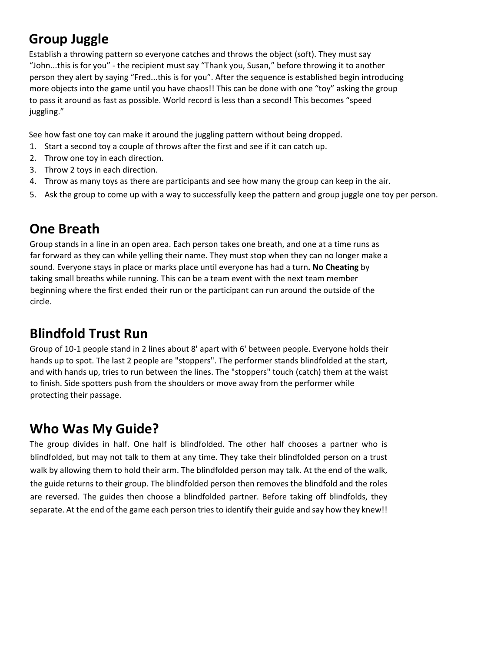## **Group Juggle**

Establish a throwing pattern so everyone catches and throws the object (soft). They must say "John...this is for you" - the recipient must say "Thank you, Susan," before throwing it to another person they alert by saying "Fred...this is for you". After the sequence is established begin introducing more objects into the game until you have chaos!! This can be done with one "toy" asking the group to pass it around as fast as possible. World record is less than a second! This becomes "speed juggling."

See how fast one toy can make it around the juggling pattern without being dropped.

- 1. Start a second toy a couple of throws after the first and see if it can catch up.
- 2. Throw one toy in each direction.
- 3. Throw 2 toys in each direction.
- 4. Throw as many toys as there are participants and see how many the group can keep in the air.
- 5. Ask the group to come up with a way to successfully keep the pattern and group juggle one toy per person.

## **One Breath**

Group stands in a line in an open area. Each person takes one breath, and one at a time runs as far forward as they can while yelling their name. They must stop when they can no longer make a sound. Everyone stays in place or marks place until everyone has had a turn**. No Cheating** by taking small breaths while running. This can be a team event with the next team member beginning where the first ended their run or the participant can run around the outside of the circle.

## **Blindfold Trust Run**

Group of 10-1 people stand in 2 lines about 8' apart with 6' between people. Everyone holds their hands up to spot. The last 2 people are "stoppers". The performer stands blindfolded at the start, and with hands up, tries to run between the lines. The "stoppers" touch (catch) them at the waist to finish. Side spotters push from the shoulders or move away from the performer while protecting their passage.

## **Who Was My Guide?**

The group divides in half. One half is blindfolded. The other half chooses a partner who is blindfolded, but may not talk to them at any time. They take their blindfolded person on a trust walk by allowing them to hold their arm. The blindfolded person may talk. At the end of the walk, the guide returns to their group. The blindfolded person then removes the blindfold and the roles are reversed. The guides then choose a blindfolded partner. Before taking off blindfolds, they separate. At the end of the game each person tries to identify their guide and say how they knew!!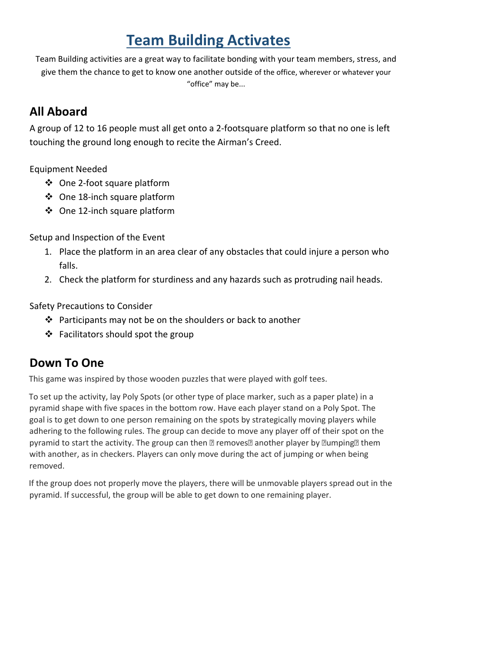# **Team Building Activates**

Team Building activities are a great way to facilitate bonding with your team members, stress, and give them the chance to get to know one another outside of the office, wherever or whatever your "office" may be...

## **All Aboard**

A group of 12 to 16 people must all get onto a 2-footsquare platform so that no one is left touching the ground long enough to recite the Airman's Creed.

Equipment Needed

- One 2-foot square platform
- One 18-inch square platform
- ❖ One 12-inch square platform

Setup and Inspection of the Event

- 1. Place the platform in an area clear of any obstacles that could injure a person who falls.
- 2. Check the platform for sturdiness and any hazards such as protruding nail heads.

Safety Precautions to Consider

- $\cdot \cdot$  Participants may not be on the shoulders or back to another
- $\triangleleft$  Facilitators should spot the group

## **Down To One**

This game was inspired by those wooden puzzles that were played with golf tees.

To set up the activity, lay Poly Spots (or other type of place marker, such as a paper plate) in a pyramid shape with five spaces in the bottom row. Have each player stand on a Poly Spot. The goal is to get down to one person remaining on the spots by strategically moving players while adhering to the following rules. The group can decide to move any player off of their spot on the pyramid to start the activity. The group can then  $\mathbb B$  removes another player by  $\mathbb B$ umping  $\mathbb B$  them with another, as in checkers. Players can only move during the act of jumping or when being removed.

If the group does not properly move the players, there will be unmovable players spread out in the pyramid. If successful, the group will be able to get down to one remaining player.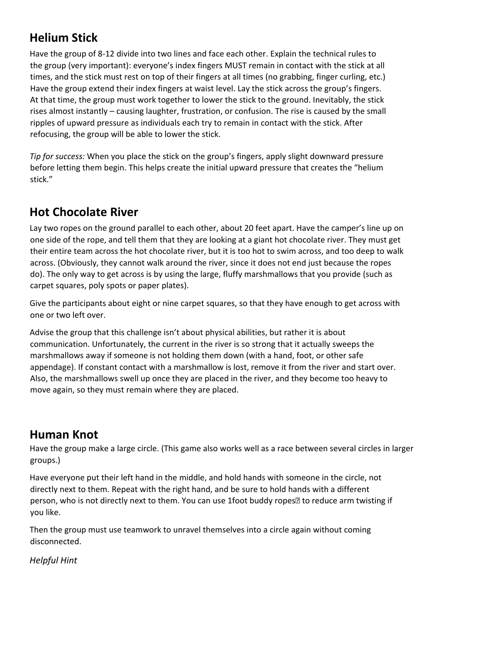## **Helium Stick**

Have the group of 8-12 divide into two lines and face each other. Explain the technical rules to the group (very important): everyone's index fingers MUST remain in contact with the stick at all times, and the stick must rest on top of their fingers at all times (no grabbing, finger curling, etc.) Have the group extend their index fingers at waist level. Lay the stick across the group's fingers. At that time, the group must work together to lower the stick to the ground. Inevitably, the stick rises almost instantly – causing laughter, frustration, or confusion. The rise is caused by the small ripples of upward pressure as individuals each try to remain in contact with the stick. After refocusing, the group will be able to lower the stick.

*Tip for success:* When you place the stick on the group's fingers, apply slight downward pressure before letting them begin. This helps create the initial upward pressure that creates the "helium stick."

## **Hot Chocolate River**

Lay two ropes on the ground parallel to each other, about 20 feet apart. Have the camper's line up on one side of the rope, and tell them that they are looking at a giant hot chocolate river. They must get their entire team across the hot chocolate river, but it is too hot to swim across, and too deep to walk across. (Obviously, they cannot walk around the river, since it does not end just because the ropes do). The only way to get across is by using the large, fluffy marshmallows that you provide (such as carpet squares, poly spots or paper plates).

Give the participants about eight or nine carpet squares, so that they have enough to get across with one or two left over.

Advise the group that this challenge isn't about physical abilities, but rather it is about communication. Unfortunately, the current in the river is so strong that it actually sweeps the marshmallows away if someone is not holding them down (with a hand, foot, or other safe appendage). If constant contact with a marshmallow is lost, remove it from the river and start over. Also, the marshmallows swell up once they are placed in the river, and they become too heavy to move again, so they must remain where they are placed.

## **Human Knot**

Have the group make a large circle. (This game also works well as a race between several circles in larger groups.)

Have everyone put their left hand in the middle, and hold hands with someone in the circle, not directly next to them. Repeat with the right hand, and be sure to hold hands with a different person, who is not directly next to them. You can use 1foot buddy ropes<sup>[2]</sup> to reduce arm twisting if you like.

Then the group must use teamwork to unravel themselves into a circle again without coming disconnected.

*Helpful Hint*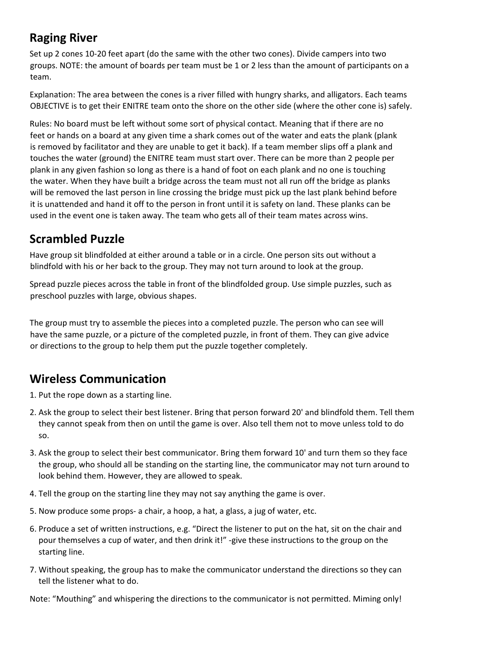## **Raging River**

Set up 2 cones 10-20 feet apart (do the same with the other two cones). Divide campers into two groups. NOTE: the amount of boards per team must be 1 or 2 less than the amount of participants on a team.

Explanation: The area between the cones is a river filled with hungry sharks, and alligators. Each teams OBJECTIVE is to get their ENITRE team onto the shore on the other side (where the other cone is) safely.

Rules: No board must be left without some sort of physical contact. Meaning that if there are no feet or hands on a board at any given time a shark comes out of the water and eats the plank (plank is removed by facilitator and they are unable to get it back). If a team member slips off a plank and touches the water (ground) the ENITRE team must start over. There can be more than 2 people per plank in any given fashion so long as there is a hand of foot on each plank and no one is touching the water. When they have built a bridge across the team must not all run off the bridge as planks will be removed the last person in line crossing the bridge must pick up the last plank behind before it is unattended and hand it off to the person in front until it is safety on land. These planks can be used in the event one is taken away. The team who gets all of their team mates across wins.

## **Scrambled Puzzle**

Have group sit blindfolded at either around a table or in a circle. One person sits out without a blindfold with his or her back to the group. They may not turn around to look at the group.

Spread puzzle pieces across the table in front of the blindfolded group. Use simple puzzles, such as preschool puzzles with large, obvious shapes.

The group must try to assemble the pieces into a completed puzzle. The person who can see will have the same puzzle, or a picture of the completed puzzle, in front of them. They can give advice or directions to the group to help them put the puzzle together completely.

## **Wireless Communication**

1. Put the rope down as a starting line.

- 2. Ask the group to select their best listener. Bring that person forward 20' and blindfold them. Tell them they cannot speak from then on until the game is over. Also tell them not to move unless told to do so.
- 3. Ask the group to select their best communicator. Bring them forward 10' and turn them so they face the group, who should all be standing on the starting line, the communicator may not turn around to look behind them. However, they are allowed to speak.
- 4. Tell the group on the starting line they may not say anything the game is over.
- 5. Now produce some props- a chair, a hoop, a hat, a glass, a jug of water, etc.
- 6. Produce a set of written instructions, e.g. "Direct the listener to put on the hat, sit on the chair and pour themselves a cup of water, and then drink it!" -give these instructions to the group on the starting line.
- 7. Without speaking, the group has to make the communicator understand the directions so they can tell the listener what to do.

Note: "Mouthing" and whispering the directions to the communicator is not permitted. Miming only!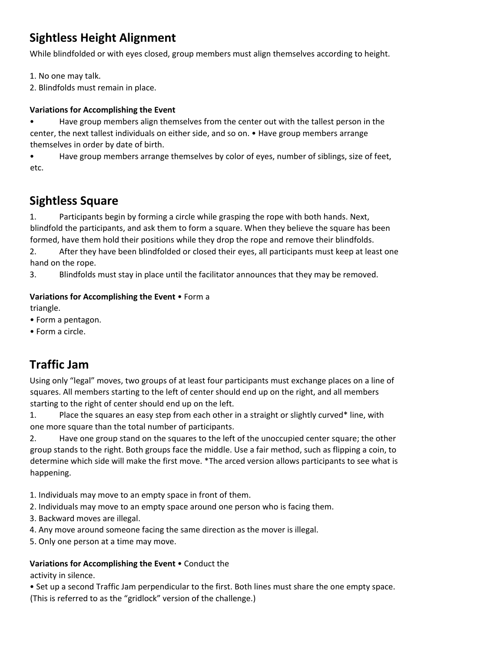## **Sightless Height Alignment**

While blindfolded or with eyes closed, group members must align themselves according to height.

1. No one may talk.

2. Blindfolds must remain in place.

#### **Variations for Accomplishing the Event**

• Have group members align themselves from the center out with the tallest person in the center, the next tallest individuals on either side, and so on. • Have group members arrange themselves in order by date of birth.

• Have group members arrange themselves by color of eyes, number of siblings, size of feet, etc.

## **Sightless Square**

1. Participants begin by forming a circle while grasping the rope with both hands. Next, blindfold the participants, and ask them to form a square. When they believe the square has been formed, have them hold their positions while they drop the rope and remove their blindfolds.

2. After they have been blindfolded or closed their eyes, all participants must keep at least one hand on the rope.

3. Blindfolds must stay in place until the facilitator announces that they may be removed.

#### **Variations for Accomplishing the Event** • Form a

triangle.

- Form a pentagon.
- Form a circle.

## **Traffic Jam**

Using only "legal" moves, two groups of at least four participants must exchange places on a line of squares. All members starting to the left of center should end up on the right, and all members starting to the right of center should end up on the left.

1. Place the squares an easy step from each other in a straight or slightly curved\* line, with one more square than the total number of participants.

2. Have one group stand on the squares to the left of the unoccupied center square; the other group stands to the right. Both groups face the middle. Use a fair method, such as flipping a coin, to determine which side will make the first move. \*The arced version allows participants to see what is happening.

1. Individuals may move to an empty space in front of them.

2. Individuals may move to an empty space around one person who is facing them.

3. Backward moves are illegal.

4. Any move around someone facing the same direction as the mover is illegal.

5. Only one person at a time may move.

#### **Variations for Accomplishing the Event** • Conduct the

activity in silence.

• Set up a second Traffic Jam perpendicular to the first. Both lines must share the one empty space. (This is referred to as the "gridlock" version of the challenge.)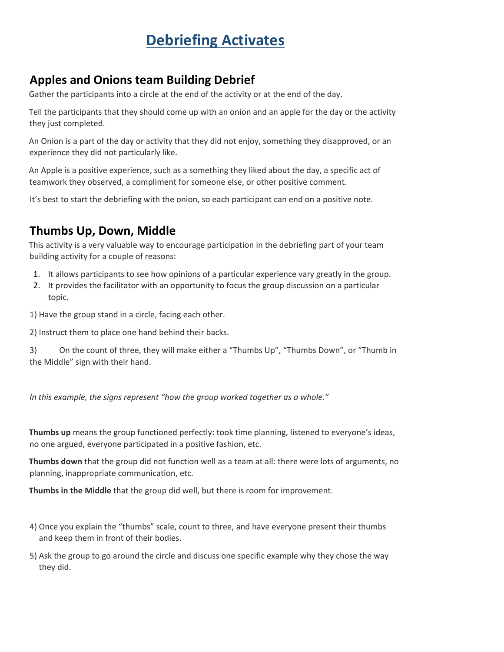# **Debriefing Activates**

## **Apples and Onions team Building Debrief**

Gather the participants into a circle at the end of the activity or at the end of the day.

Tell the participants that they should come up with an onion and an apple for the day or the activity they just completed.

An Onion is a part of the day or activity that they did not enjoy, something they disapproved, or an experience they did not particularly like.

An Apple is a positive experience, such as a something they liked about the day, a specific act of teamwork they observed, a compliment for someone else, or other positive comment.

It's best to start the debriefing with the onion, so each participant can end on a positive note.

## **Thumbs Up, Down, Middle**

This activity is a very valuable way to encourage participation in the debriefing part of your team building activity for a couple of reasons:

- 1. It allows participants to see how opinions of a particular experience vary greatly in the group.
- 2. It provides the facilitator with an opportunity to focus the group discussion on a particular topic.

1) Have the group stand in a circle, facing each other.

2) Instruct them to place one hand behind their backs.

3) On the count of three, they will make either a "Thumbs Up", "Thumbs Down", or "Thumb in the Middle" sign with their hand.

*In this example, the signs represent "how the group worked together as a whole."* 

**Thumbs up** means the group functioned perfectly: took time planning, listened to everyone's ideas, no one argued, everyone participated in a positive fashion, etc.

**Thumbs down** that the group did not function well as a team at all: there were lots of arguments, no planning, inappropriate communication, etc.

**Thumbs in the Middle** that the group did well, but there is room for improvement.

- 4) Once you explain the "thumbs" scale, count to three, and have everyone present their thumbs and keep them in front of their bodies.
- 5) Ask the group to go around the circle and discuss one specific example why they chose the way they did.